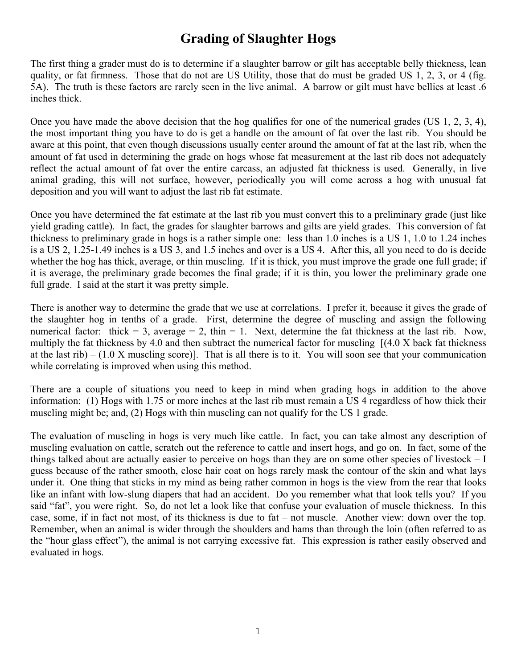### **Grading of Slaughter Hogs**

The first thing a grader must do is to determine if a slaughter barrow or gilt has acceptable belly thickness, lean quality, or fat firmness. Those that do not are US Utility, those that do must be graded US 1, 2, 3, or 4 (fig. 5A). The truth is these factors are rarely seen in the live animal. A barrow or gilt must have bellies at least .6 inches thick.

Once you have made the above decision that the hog qualifies for one of the numerical grades (US 1, 2, 3, 4), the most important thing you have to do is get a handle on the amount of fat over the last rib. You should be aware at this point, that even though discussions usually center around the amount of fat at the last rib, when the amount of fat used in determining the grade on hogs whose fat measurement at the last rib does not adequately reflect the actual amount of fat over the entire carcass, an adjusted fat thickness is used. Generally, in live animal grading, this will not surface, however, periodically you will come across a hog with unusual fat deposition and you will want to adjust the last rib fat estimate.

Once you have determined the fat estimate at the last rib you must convert this to a preliminary grade (just like yield grading cattle). In fact, the grades for slaughter barrows and gilts are yield grades. This conversion of fat thickness to preliminary grade in hogs is a rather simple one: less than 1.0 inches is a US 1, 1.0 to 1.24 inches is a US 2, 1.25-1.49 inches is a US 3, and 1.5 inches and over is a US 4. After this, all you need to do is decide whether the hog has thick, average, or thin muscling. If it is thick, you must improve the grade one full grade; if it is average, the preliminary grade becomes the final grade; if it is thin, you lower the preliminary grade one full grade. I said at the start it was pretty simple.

There is another way to determine the grade that we use at correlations. I prefer it, because it gives the grade of the slaughter hog in tenths of a grade. First, determine the degree of muscling and assign the following numerical factor: thick = 3, average = 2, thin = 1. Next, determine the fat thickness at the last rib. Now, multiply the fat thickness by 4.0 and then subtract the numerical factor for muscling  $[(4.0 \times \text{back fat thickness})$ at the last rib) –  $(1.0 \text{ X}$  muscling score)]. That is all there is to it. You will soon see that your communication while correlating is improved when using this method.

There are a couple of situations you need to keep in mind when grading hogs in addition to the above information: (1) Hogs with 1.75 or more inches at the last rib must remain a US 4 regardless of how thick their muscling might be; and, (2) Hogs with thin muscling can not qualify for the US 1 grade.

The evaluation of muscling in hogs is very much like cattle. In fact, you can take almost any description of muscling evaluation on cattle, scratch out the reference to cattle and insert hogs, and go on. In fact, some of the things talked about are actually easier to perceive on hogs than they are on some other species of livestock – I guess because of the rather smooth, close hair coat on hogs rarely mask the contour of the skin and what lays under it. One thing that sticks in my mind as being rather common in hogs is the view from the rear that looks like an infant with low-slung diapers that had an accident. Do you remember what that look tells you? If you said "fat", you were right. So, do not let a look like that confuse your evaluation of muscle thickness. In this case, some, if in fact not most, of its thickness is due to fat – not muscle. Another view: down over the top. Remember, when an animal is wider through the shoulders and hams than through the loin (often referred to as the "hour glass effect"), the animal is not carrying excessive fat. This expression is rather easily observed and evaluated in hogs.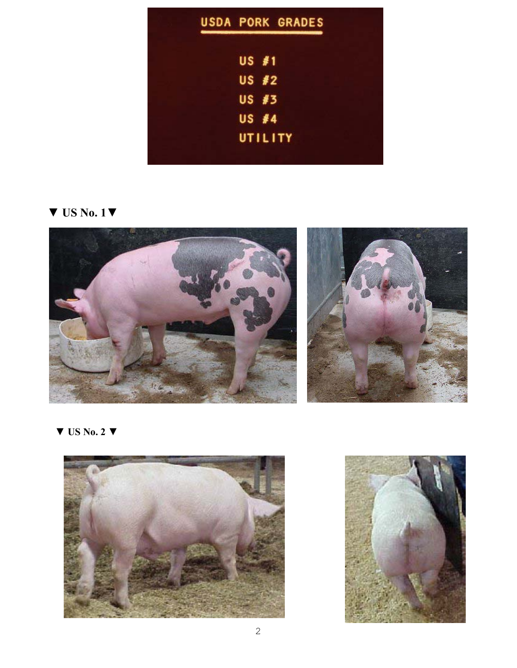|              | <b>USDA PORK GRADES</b> |
|--------------|-------------------------|
| $US$ #1      |                         |
| US #2        |                         |
| US #3        |                         |
| <b>US #4</b> |                         |
| UTILITY      |                         |

**▼ US No. 1▼**



**▼ US No. 2 ▼**



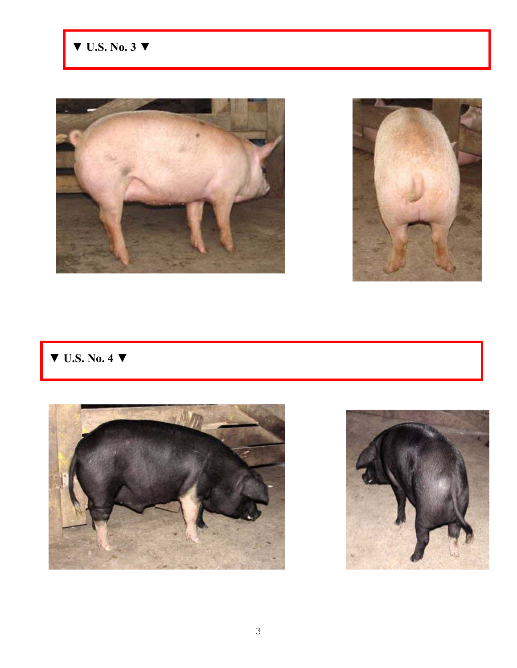



# **▼ U.S. No. 4 ▼**



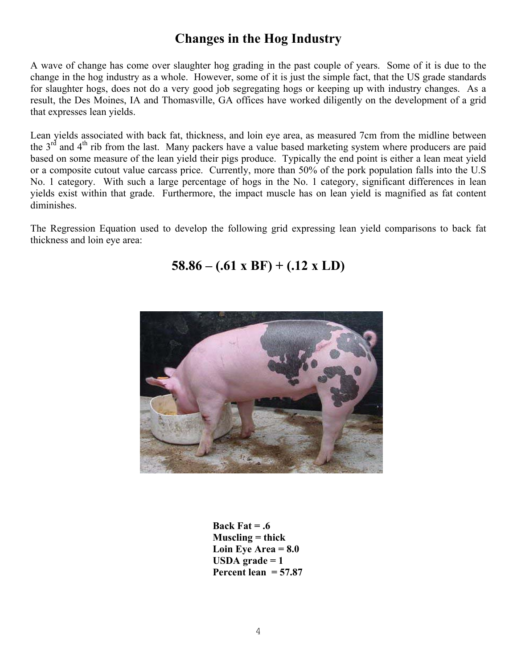# **Changes in the Hog Industry**

A wave of change has come over slaughter hog grading in the past couple of years. Some of it is due to the change in the hog industry as a whole. However, some of it is just the simple fact, that the US grade standards for slaughter hogs, does not do a very good job segregating hogs or keeping up with industry changes. As a result, the Des Moines, IA and Thomasville, GA offices have worked diligently on the development of a grid that expresses lean yields.

Lean yields associated with back fat, thickness, and loin eye area, as measured 7cm from the midline between the  $3<sup>rd</sup>$  and  $4<sup>th</sup>$  rib from the last. Many packers have a value based marketing system where producers are paid based on some measure of the lean yield their pigs produce. Typically the end point is either a lean meat yield or a composite cutout value carcass price. Currently, more than 50% of the pork population falls into the U.S No. 1 category. With such a large percentage of hogs in the No. 1 category, significant differences in lean yields exist within that grade. Furthermore, the impact muscle has on lean yield is magnified as fat content diminishes.

The Regression Equation used to develop the following grid expressing lean yield comparisons to back fat thickness and loin eye area:

#### **58.86 – (.61 x BF) + (.12 x LD)**



**Back Fat = .6 Muscling = thick Loin Eye Area = 8.0 USDA grade = 1 Percent lean = 57.87**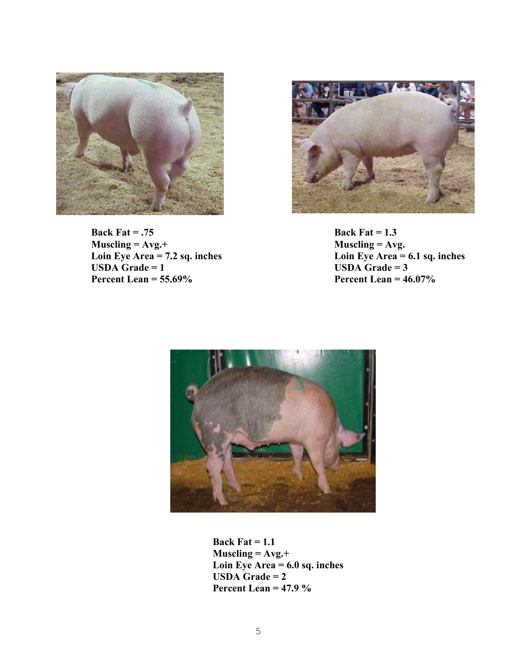

Back Fat = .75<br> **Back Fat = 1.3**<br> **Muscling = Avg.**+<br> **Back Fat = 1.3**<br> **Muscling = Avg. Muscling = Avg.+**<br>Loin Eye Area = 7.2 sq. inches **Percent Lean = 55.69% Percent Lean = 46.07%** 



Loin Eye Area = 7.2 sq. inches Loin Eye Area = 6.1 sq. inches USDA Grade = 1 **USDA Grade = 3**<br>**Percent Lean = 46.07%** 



**Back Fat = 1.1 Muscling = Avg.+ Loin Eye Area = 6.0 sq. inches USDA Grade = 2 Percent Lean = 47.9 %**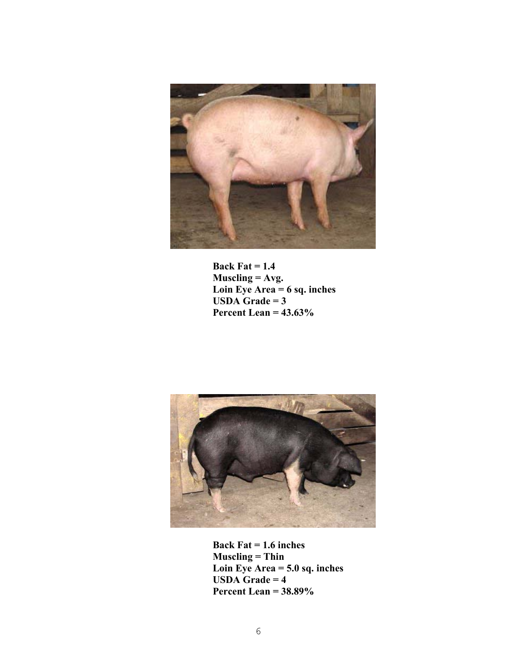

 **Back Fat = 1.4 Muscling = Avg. Loin Eye Area = 6 sq. inches USDA** Grade =  $3$  **Percent Lean = 43.63%**



**Back Fat = 1.6 inches Muscling = Thin Loin Eye Area = 5.0 sq. inches USDA Grade = 4 Percent Lean = 38.89%**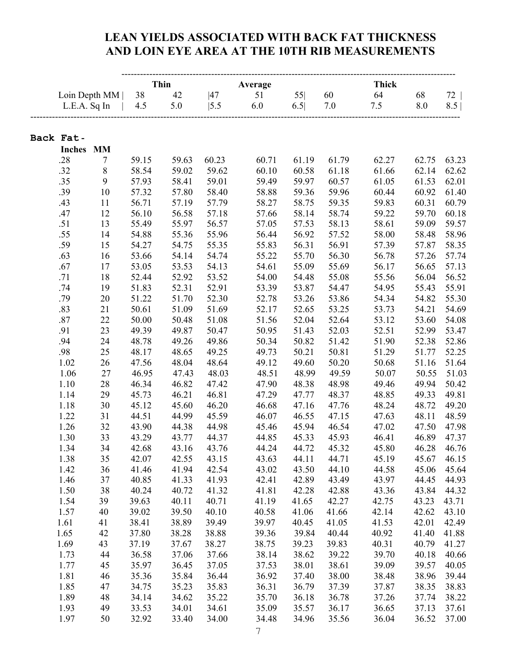#### **LEAN YIELDS ASSOCIATED WITH BACK FAT THICKNESS AND LOIN EYE AREA AT THE 10TH RIB MEASUREMENTS**

|                      |            |                | <b>Thin</b><br>Average |                |                |                |                | <b>Thick</b>   |                |                |  |
|----------------------|------------|----------------|------------------------|----------------|----------------|----------------|----------------|----------------|----------------|----------------|--|
| Loin Depth MM        |            | 38             |                        | 47             | 51             | 55             | 60             | 64             | 68             | 72             |  |
| L.E.A. Sq In         |            | 4.5            | 42<br>5.0              | 5.5            | 6.0            | 6.5            | 7.0            | 7.5            | 8.0            | 8.5            |  |
|                      |            |                |                        |                |                |                |                |                |                |                |  |
|                      |            |                |                        |                |                |                |                |                |                |                |  |
| Back Fat-            |            |                |                        |                |                |                |                |                |                |                |  |
| <b>Inches</b><br>.28 | <b>MM</b>  | 59.15          |                        | 60.23          | 60.71          | 61.19          | 61.79          | 62.27          |                | 63.23          |  |
| .32                  | 7<br>$8\,$ | 58.54          | 59.63<br>59.02         | 59.62          | 60.10          | 60.58          | 61.18          | 61.66          | 62.75<br>62.14 | 62.62          |  |
| .35                  | 9          | 57.93          | 58.41                  | 59.01          | 59.49          | 59.97          | 60.57          | 61.05          | 61.53          | 62.01          |  |
| .39                  | 10         | 57.32          | 57.80                  | 58.40          | 58.88          | 59.36          | 59.96          | 60.44          | 60.92          | 61.40          |  |
| .43                  | 11         | 56.71          | 57.19                  | 57.79          | 58.27          | 58.75          | 59.35          | 59.83          | 60.31          | 60.79          |  |
| .47                  | 12         | 56.10          | 56.58                  | 57.18          | 57.66          | 58.14          | 58.74          | 59.22          | 59.70          | 60.18          |  |
| .51                  | 13         | 55.49          | 55.97                  | 56.57          | 57.05          | 57.53          | 58.13          | 58.61          | 59.09          | 59.57          |  |
| .55                  | 14         | 54.88          | 55.36                  | 55.96          | 56.44          | 56.92          | 57.52          | 58.00          | 58.48          | 58.96          |  |
| .59                  | 15         | 54.27          | 54.75                  | 55.35          | 55.83          | 56.31          | 56.91          | 57.39          | 57.87          | 58.35          |  |
| .63                  | 16         | 53.66          | 54.14                  | 54.74          | 55.22          | 55.70          | 56.30          | 56.78          | 57.26          | 57.74          |  |
| .67                  | 17         | 53.05          | 53.53                  | 54.13          | 54.61          | 55.09          | 55.69          | 56.17          | 56.65          | 57.13          |  |
| .71                  | 18         | 52.44          | 52.92                  | 53.52          | 54.00          | 54.48          | 55.08          | 55.56          | 56.04          | 56.52          |  |
| .74                  | 19         | 51.83          | 52.31                  | 52.91          | 53.39          | 53.87          | 54.47          | 54.95          | 55.43          | 55.91          |  |
| .79                  | $20\,$     | 51.22          | 51.70                  | 52.30          | 52.78          | 53.26          | 53.86          | 54.34          | 54.82          | 55.30          |  |
| .83                  | 21         | 50.61          | 51.09                  | 51.69          | 52.17          | 52.65          | 53.25          | 53.73          | 54.21          | 54.69          |  |
| .87                  | 22         | 50.00          | 50.48                  | 51.08          | 51.56          | 52.04          | 52.64          | 53.12          | 53.60          | 54.08          |  |
| .91                  | 23         | 49.39          | 49.87                  | 50.47          | 50.95          | 51.43          | 52.03          | 52.51          | 52.99          | 53.47          |  |
| .94                  | 24         | 48.78          | 49.26                  | 49.86          | 50.34          | 50.82          | 51.42          | 51.90          | 52.38          | 52.86          |  |
| .98                  | 25         | 48.17          | 48.65                  | 49.25          | 49.73          | 50.21          | 50.81          | 51.29          | 51.77          | 52.25          |  |
| 1.02                 | 26         | 47.56          | 48.04                  | 48.64          | 49.12          | 49.60          | 50.20          | 50.68          | 51.16          | 51.64          |  |
| 1.06                 | 27         | 46.95          | 47.43                  | 48.03          | 48.51          | 48.99          | 49.59          | 50.07          | 50.55          | 51.03          |  |
| 1.10                 | 28         | 46.34          | 46.82                  | 47.42          | 47.90          | 48.38          | 48.98          | 49.46          | 49.94          | 50.42          |  |
| 1.14                 | 29         | 45.73          | 46.21                  | 46.81          | 47.29          | 47.77          | 48.37          | 48.85          | 49.33          | 49.81          |  |
| 1.18                 | 30         | 45.12          | 45.60                  | 46.20          | 46.68          | 47.16          | 47.76          | 48.24          | 48.72          | 49.20          |  |
| 1.22                 | 31         | 44.51          | 44.99                  | 45.59          | 46.07          | 46.55          | 47.15          | 47.63          | 48.11          | 48.59          |  |
| 1.26                 | 32         | 43.90          | 44.38                  | 44.98          | 45.46          | 45.94          | 46.54          | 47.02          | 47.50          | 47.98          |  |
| 1.30                 | 33         | 43.29          | 43.77                  | 44.37          | 44.85          | 45.33          | 45.93          | 46.41          | 46.89          | 47.37          |  |
| 1.34                 | 34         | 42.68          | 43.16                  | 43.76          | 44.24          | 44.72          | 45.32          | 45.80          | 46.28          | 46.76          |  |
| 1.38                 | 35         | 42.07          | 42.55                  | 43.15          | 43.63          | 44.11          | 44.71          | 45.19          | 45.67          | 46.15          |  |
| 1.42                 | 36         | 41.46          | 41.94                  | 42.54          | 43.02          | 43.50          | 44.10          | 44.58          | 45.06          | 45.64          |  |
| 1.46                 | 37         | 40.85          | 41.33                  | 41.93          | 42.41          | 42.89          | 43.49          | 43.97          | 44.45          | 44.93          |  |
| 1.50                 | 38         | 40.24          | 40.72                  | 41.32          | 41.81          | 42.28          | 42.88          | 43.36          | 43.84          | 44.32          |  |
| 1.54                 | 39         | 39.63          | 40.11                  | 40.71          | 41.19          | 41.65          | 42.27          | 42.75          | 43.23          | 43.71          |  |
| 1.57                 | 40         | 39.02          | 39.50                  | 40.10          | 40.58          | 41.06          | 41.66          | 42.14          | 42.62          | 43.10          |  |
| 1.61                 | 41         | 38.41          | 38.89                  | 39.49          | 39.97          | 40.45          | 41.05          | 41.53          | 42.01          | 42.49          |  |
| 1.65                 | 42         | 37.80          | 38.28                  | 38.88          | 39.36          | 39.84          | 40.44          | 40.92          | 41.40          | 41.88          |  |
| 1.69                 | 43         | 37.19          | 37.67                  | 38.27          | 38.75          | 39.23          | 39.83          | 40.31          | 40.79          | 41.27          |  |
| 1.73                 | 44         | 36.58          | 37.06                  | 37.66          | 38.14          | 38.62          | 39.22          | 39.70<br>39.09 | 40.18<br>39.57 | 40.66          |  |
| 1.77<br>1.81         | 45<br>46   | 35.97<br>35.36 | 36.45<br>35.84         | 37.05<br>36.44 | 37.53<br>36.92 | 38.01          | 38.61<br>38.00 | 38.48          | 38.96          | 40.05<br>39.44 |  |
| 1.85                 |            | 34.75          |                        | 35.83          |                | 37.40<br>36.79 | 37.39          | 37.87          | 38.35          | 38.83          |  |
| 1.89                 | 47<br>48   | 34.14          | 35.23<br>34.62         | 35.22          | 36.31<br>35.70 | 36.18          | 36.78          | 37.26          | 37.74          | 38.22          |  |
| 1.93                 | 49         | 33.53          | 34.01                  | 34.61          | 35.09          | 35.57          | 36.17          | 36.65          | 37.13          | 37.61          |  |
| 1.97                 | 50         | 32.92          | 33.40                  | 34.00          | 34.48          | 34.96          | 35.56          | 36.04          | 36.52          | 37.00          |  |
|                      |            |                |                        |                |                |                |                |                |                |                |  |

7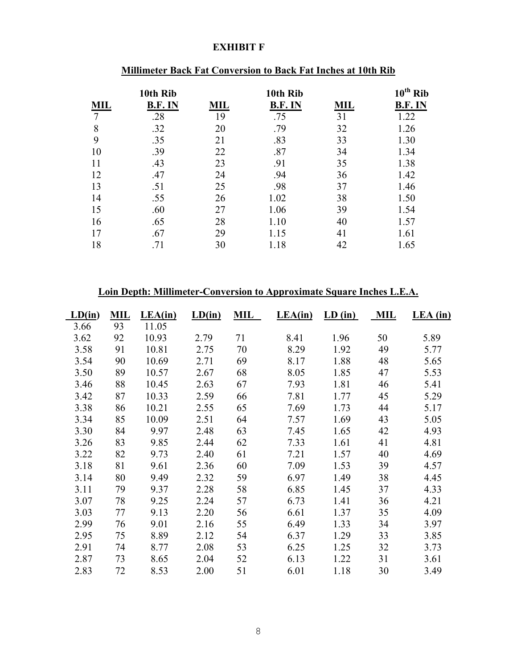#### **EXHIBIT F**

|            | 10th Rib       |            | 10th Rib       |            | $10^{th}$ Rib  |
|------------|----------------|------------|----------------|------------|----------------|
| <b>MIL</b> | <b>B.F. IN</b> | <b>MIL</b> | <b>B.F. IN</b> | <b>MIL</b> | <b>B.F. IN</b> |
| 7          | .28            | 19         | .75            | 31         | 1.22           |
| 8          | .32            | 20         | .79            | 32         | 1.26           |
| 9          | .35            | 21         | .83            | 33         | 1.30           |
| 10         | .39            | 22         | .87            | 34         | 1.34           |
| 11         | .43            | 23         | .91            | 35         | 1.38           |
| 12         | .47            | 24         | .94            | 36         | 1.42           |
| 13         | .51            | 25         | .98            | 37         | 1.46           |
| 14         | .55            | 26         | 1.02           | 38         | 1.50           |
| 15         | .60            | 27         | 1.06           | 39         | 1.54           |
| 16         | .65            | 28         | 1.10           | 40         | 1.57           |
| 17         | .67            | 29         | 1.15           | 41         | 1.61           |
| 18         | .71            | 30         | 1.18           | 42         | 1.65           |

# **Millimeter Back Fat Conversion to Back Fat Inches at 10th Rib**

#### **Loin Depth: Millimeter-Conversion to Approximate Square Inches L.E.A.**

| LD(in) | <b>MIL</b> | LEA(in) | LD(in) | MIL | LEA(in) | LD (in) | ML | LEA (in) |
|--------|------------|---------|--------|-----|---------|---------|----|----------|
| 3.66   | 93         | 11.05   |        |     |         |         |    |          |
| 3.62   | 92         | 10.93   | 2.79   | 71  | 8.41    | 1.96    | 50 | 5.89     |
| 3.58   | 91         | 10.81   | 2.75   | 70  | 8.29    | 1.92    | 49 | 5.77     |
| 3.54   | 90         | 10.69   | 2.71   | 69  | 8.17    | 1.88    | 48 | 5.65     |
| 3.50   | 89         | 10.57   | 2.67   | 68  | 8.05    | 1.85    | 47 | 5.53     |
| 3.46   | 88         | 10.45   | 2.63   | 67  | 7.93    | 1.81    | 46 | 5.41     |
| 3.42   | 87         | 10.33   | 2.59   | 66  | 7.81    | 1.77    | 45 | 5.29     |
| 3.38   | 86         | 10.21   | 2.55   | 65  | 7.69    | 1.73    | 44 | 5.17     |
| 3.34   | 85         | 10.09   | 2.51   | 64  | 7.57    | 1.69    | 43 | 5.05     |
| 3.30   | 84         | 9.97    | 2.48   | 63  | 7.45    | 1.65    | 42 | 4.93     |
| 3.26   | 83         | 9.85    | 2.44   | 62  | 7.33    | 1.61    | 41 | 4.81     |
| 3.22   | 82         | 9.73    | 2.40   | 61  | 7.21    | 1.57    | 40 | 4.69     |
| 3.18   | 81         | 9.61    | 2.36   | 60  | 7.09    | 1.53    | 39 | 4.57     |
| 3.14   | 80         | 9.49    | 2.32   | 59  | 6.97    | 1.49    | 38 | 4.45     |
| 3.11   | 79         | 9.37    | 2.28   | 58  | 6.85    | 1.45    | 37 | 4.33     |
| 3.07   | 78         | 9.25    | 2.24   | 57  | 6.73    | 1.41    | 36 | 4.21     |
| 3.03   | 77         | 9.13    | 2.20   | 56  | 6.61    | 1.37    | 35 | 4.09     |
| 2.99   | 76         | 9.01    | 2.16   | 55  | 6.49    | 1.33    | 34 | 3.97     |
| 2.95   | 75         | 8.89    | 2.12   | 54  | 6.37    | 1.29    | 33 | 3.85     |
| 2.91   | 74         | 8.77    | 2.08   | 53  | 6.25    | 1.25    | 32 | 3.73     |
| 2.87   | 73         | 8.65    | 2.04   | 52  | 6.13    | 1.22    | 31 | 3.61     |
| 2.83   | 72         | 8.53    | 2.00   | 51  | 6.01    | 1.18    | 30 | 3.49     |